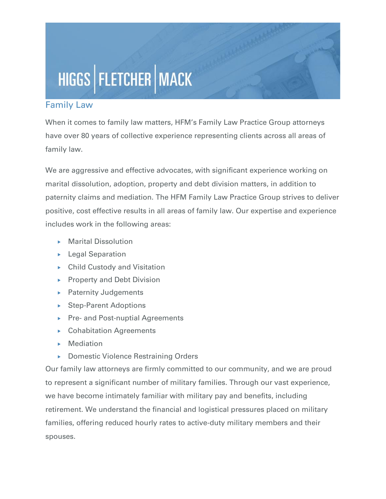## HIGGS | FLETCHER | MACK

## Family Law

When it comes to family law matters, HFM's Family Law Practice Group attorneys have over 80 years of collective experience representing clients across all areas of family law.

We are aggressive and effective advocates, with significant experience working on marital dissolution, adoption, property and debt division matters, in addition to paternity claims and mediation. The HFM Family Law Practice Group strives to deliver positive, cost effective results in all areas of family law. Our expertise and experience includes work in the following areas:

- **Marital Dissolution**
- **Legal Separation**
- ▶ Child Custody and Visitation
- $\triangleright$  Property and Debt Division
- **Paternity Judgements**
- ▶ Step-Parent Adoptions
- ▶ Pre- and Post-nuptial Agreements
- ▶ Cohabitation Agreements
- **Mediation**
- ▶ Domestic Violence Restraining Orders

Our family law attorneys are firmly committed to our community, and we are proud to represent a significant number of military families. Through our vast experience, we have become intimately familiar with military pay and benefits, including retirement. We understand the financial and logistical pressures placed on military families, offering reduced hourly rates to active-duty military members and their spouses.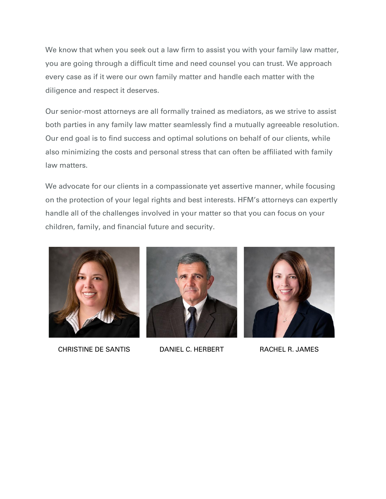We know that when you seek out a law firm to assist you with your family law matter, you are going through a difficult time and need counsel you can trust. We approach every case as if it were our own family matter and handle each matter with the diligence and respect it deserves.

Our senior-most attorneys are all formally trained as mediators, as we strive to assist both parties in any family law matter seamlessly find a mutually agreeable resolution. Our end goal is to find success and optimal solutions on behalf of our clients, while also minimizing the costs and personal stress that can often be affiliated with family law matters.

We advocate for our clients in a compassionate yet assertive manner, while focusing on the protection of your legal rights and best interests. HFM's attorneys can expertly handle all of the challenges involved in your matter so that you can focus on your children, family, and financial future and security.



CHRISTINE DE SANTIS DANIEL C. HERBERT RACHEL R. JAMES